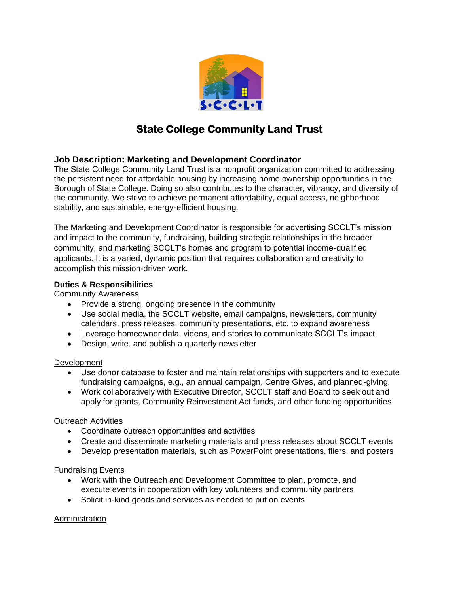

# **State College Community Land Trust**

## **Job Description: Marketing and Development Coordinator**

The State College Community Land Trust is a nonprofit organization committed to addressing the persistent need for affordable housing by increasing home ownership opportunities in the Borough of State College. Doing so also contributes to the character, vibrancy, and diversity of the community. We strive to achieve permanent affordability, equal access, neighborhood stability, and sustainable, energy-efficient housing.

The Marketing and Development Coordinator is responsible for advertising SCCLT's mission and impact to the community, fundraising, building strategic relationships in the broader community, and marketing SCCLT's homes and program to potential income-qualified applicants. It is a varied, dynamic position that requires collaboration and creativity to accomplish this mission-driven work.

## **Duties & Responsibilities**

Community Awareness

- Provide a strong, ongoing presence in the community
- Use social media, the SCCLT website, email campaigns, newsletters, community calendars, press releases, community presentations, etc. to expand awareness
- Leverage homeowner data, videos, and stories to communicate SCCLT's impact
- Design, write, and publish a quarterly newsletter

## **Development**

- Use donor database to foster and maintain relationships with supporters and to execute fundraising campaigns, e.g., an annual campaign, Centre Gives, and planned-giving.
- Work collaboratively with Executive Director, SCCLT staff and Board to seek out and apply for grants, Community Reinvestment Act funds, and other funding opportunities

## Outreach Activities

- Coordinate outreach opportunities and activities
- Create and disseminate marketing materials and press releases about SCCLT events
- Develop presentation materials, such as PowerPoint presentations, fliers, and posters

## Fundraising Events

- Work with the Outreach and Development Committee to plan, promote, and execute events in cooperation with key volunteers and community partners
- Solicit in-kind goods and services as needed to put on events

## Administration